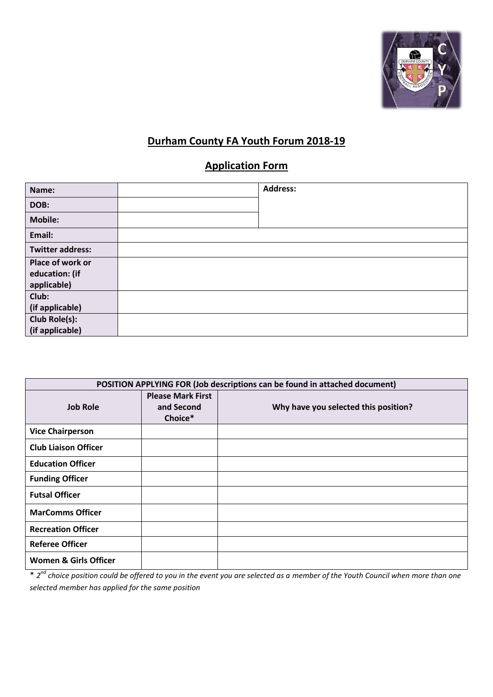

# **Durham County FA Youth Forum 2018-19**

# **Application Form**

| Name:                   | <b>Address:</b> |
|-------------------------|-----------------|
| DOB:                    |                 |
| <b>Mobile:</b>          |                 |
| Email:                  |                 |
| <b>Twitter address:</b> |                 |
| Place of work or        |                 |
| education: (if          |                 |
| applicable)             |                 |
| Club:                   |                 |
| (if applicable)         |                 |
| Club Role(s):           |                 |
| (if applicable)         |                 |

| POSITION APPLYING FOR (Job descriptions can be found in attached document) |                                                   |                                      |  |
|----------------------------------------------------------------------------|---------------------------------------------------|--------------------------------------|--|
| <b>Job Role</b>                                                            | <b>Please Mark First</b><br>and Second<br>Choice* | Why have you selected this position? |  |
| <b>Vice Chairperson</b>                                                    |                                                   |                                      |  |
| <b>Club Liaison Officer</b>                                                |                                                   |                                      |  |
| <b>Education Officer</b>                                                   |                                                   |                                      |  |
| <b>Funding Officer</b>                                                     |                                                   |                                      |  |
| <b>Futsal Officer</b>                                                      |                                                   |                                      |  |
| <b>MarComms Officer</b>                                                    |                                                   |                                      |  |
| <b>Recreation Officer</b>                                                  |                                                   |                                      |  |
| <b>Referee Officer</b>                                                     |                                                   |                                      |  |
| <b>Women &amp; Girls Officer</b>                                           |                                                   |                                      |  |

\* *2 nd choice position could be offered to you in the event you are selected as a member of the Youth Council when more than one selected member has applied for the same position*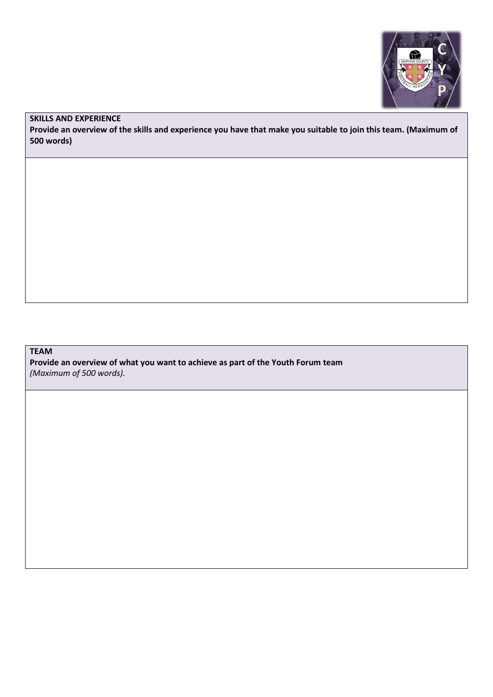

### **SKILLS AND EXPERIENCE**

**Provide an overview of the skills and experience you have that make you suitable to join this team. (Maximum of 500 words)**

## **TEAM**

**Provide an overview of what you want to achieve as part of the Youth Forum team** *(Maximum of 500 words).*